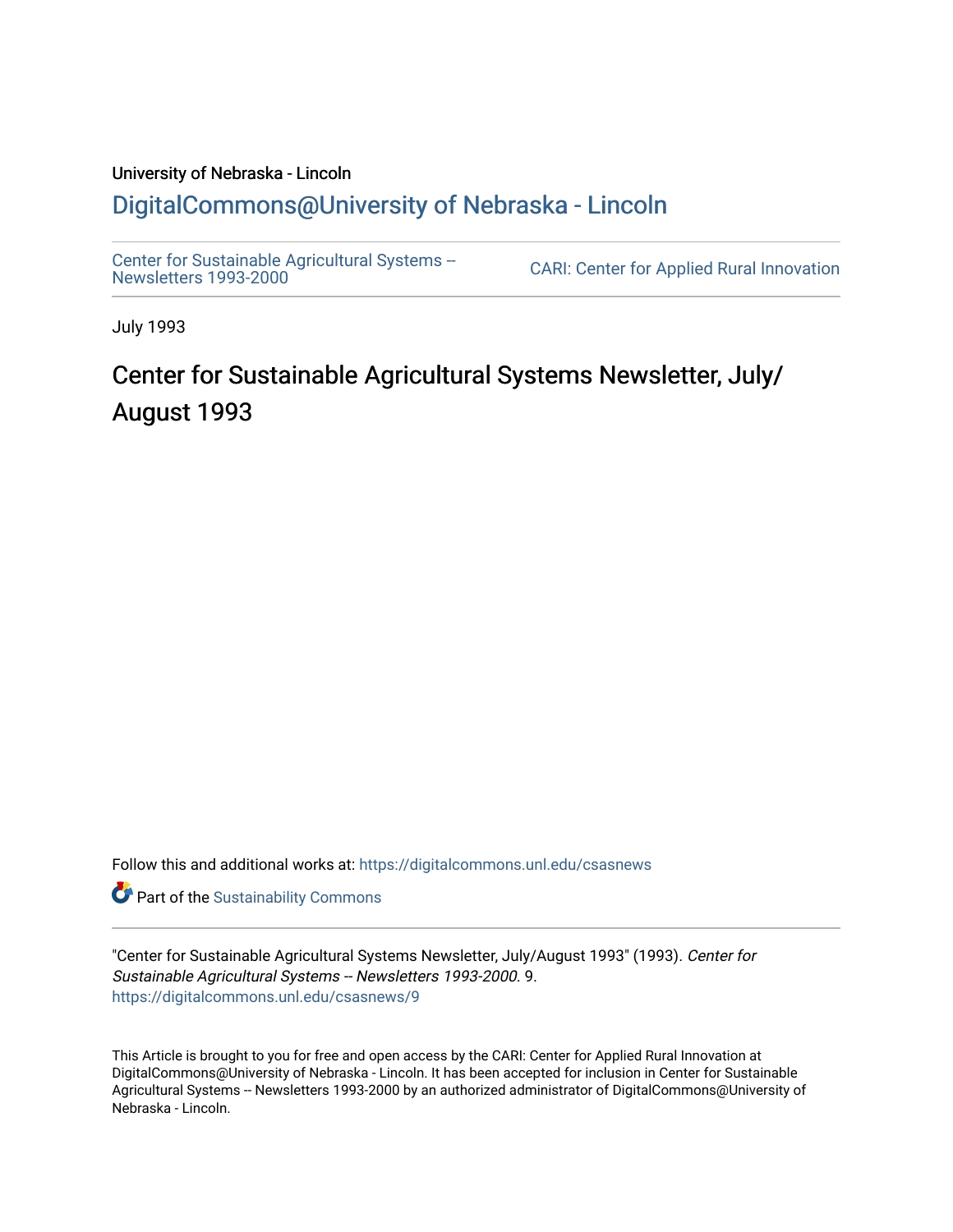## University of Nebraska - Lincoln [DigitalCommons@University of Nebraska - Lincoln](https://digitalcommons.unl.edu/)

[Center for Sustainable Agricultural Systems --](https://digitalcommons.unl.edu/csasnews)<br>Newsletters 1993-2000

CARI: Center for Applied Rural Innovation

July 1993

# Center for Sustainable Agricultural Systems Newsletter, July/ August 1993

Follow this and additional works at: [https://digitalcommons.unl.edu/csasnews](https://digitalcommons.unl.edu/csasnews?utm_source=digitalcommons.unl.edu%2Fcsasnews%2F9&utm_medium=PDF&utm_campaign=PDFCoverPages) 

**Part of the [Sustainability Commons](http://network.bepress.com/hgg/discipline/1031?utm_source=digitalcommons.unl.edu%2Fcsasnews%2F9&utm_medium=PDF&utm_campaign=PDFCoverPages)** 

"Center for Sustainable Agricultural Systems Newsletter, July/August 1993" (1993). Center for Sustainable Agricultural Systems -- Newsletters 1993-2000. 9. [https://digitalcommons.unl.edu/csasnews/9](https://digitalcommons.unl.edu/csasnews/9?utm_source=digitalcommons.unl.edu%2Fcsasnews%2F9&utm_medium=PDF&utm_campaign=PDFCoverPages) 

This Article is brought to you for free and open access by the CARI: Center for Applied Rural Innovation at DigitalCommons@University of Nebraska - Lincoln. It has been accepted for inclusion in Center for Sustainable Agricultural Systems -- Newsletters 1993-2000 by an authorized administrator of DigitalCommons@University of Nebraska - Lincoln.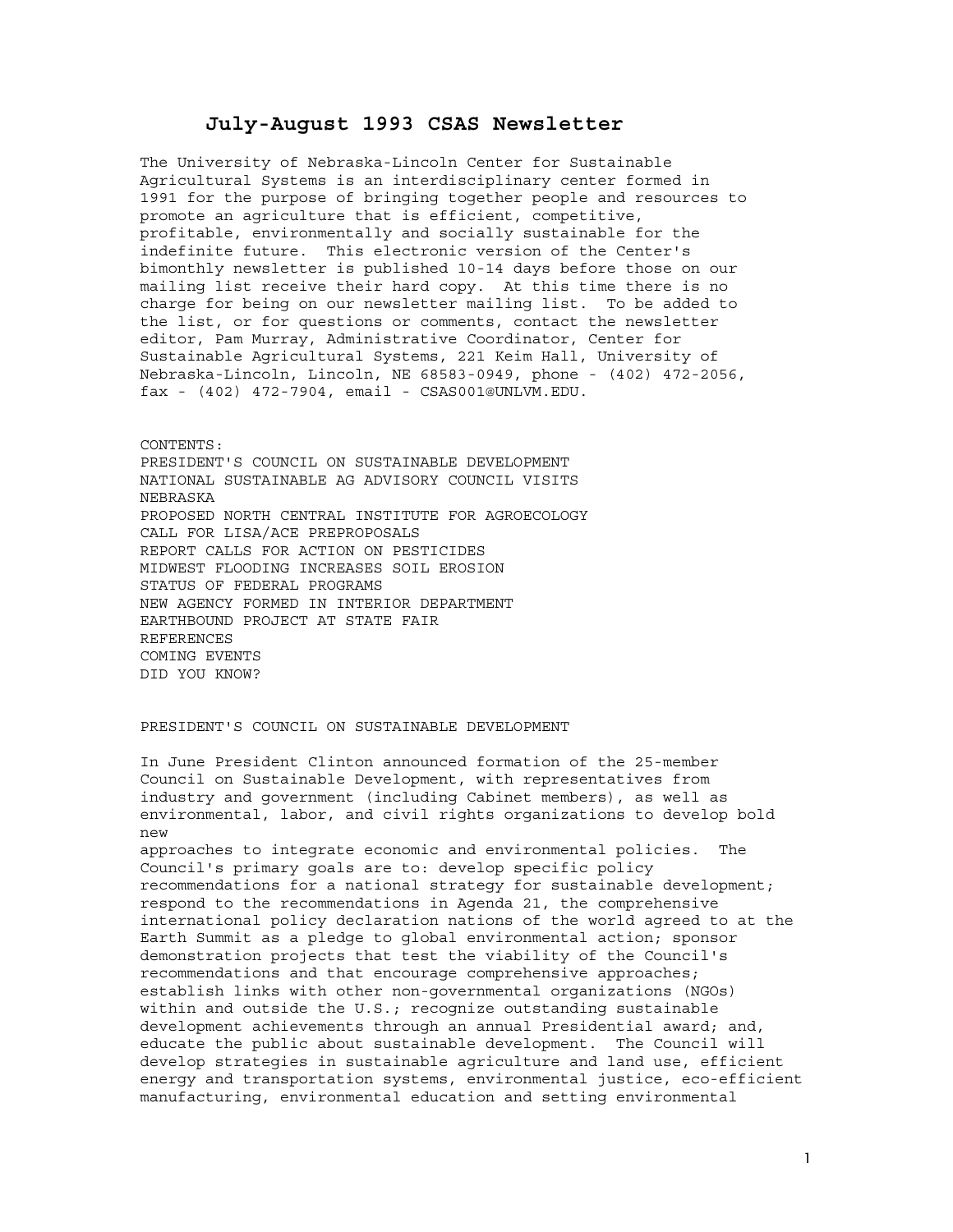### **July-August 1993 CSAS Newsletter**

The University of Nebraska-Lincoln Center for Sustainable Agricultural Systems is an interdisciplinary center formed in 1991 for the purpose of bringing together people and resources to promote an agriculture that is efficient, competitive, profitable, environmentally and socially sustainable for the indefinite future. This electronic version of the Center's bimonthly newsletter is published 10-14 days before those on our mailing list receive their hard copy. At this time there is no charge for being on our newsletter mailing list. To be added to the list, or for questions or comments, contact the newsletter editor, Pam Murray, Administrative Coordinator, Center for Sustainable Agricultural Systems, 221 Keim Hall, University of Nebraska-Lincoln, Lincoln, NE 68583-0949, phone - (402) 472-2056, fax - (402) 472-7904, email - CSAS001@UNLVM.EDU.

CONTENTS: PRESIDENT'S COUNCIL ON SUSTAINABLE DEVELOPMENT NATIONAL SUSTAINABLE AG ADVISORY COUNCIL VISITS NEBRASKA PROPOSED NORTH CENTRAL INSTITUTE FOR AGROECOLOGY CALL FOR LISA/ACE PREPROPOSALS REPORT CALLS FOR ACTION ON PESTICIDES MIDWEST FLOODING INCREASES SOIL EROSION STATUS OF FEDERAL PROGRAMS NEW AGENCY FORMED IN INTERIOR DEPARTMENT EARTHBOUND PROJECT AT STATE FAIR REFERENCES COMING EVENTS DID YOU KNOW?

#### PRESIDENT'S COUNCIL ON SUSTAINABLE DEVELOPMENT

In June President Clinton announced formation of the 25-member Council on Sustainable Development, with representatives from industry and government (including Cabinet members), as well as environmental, labor, and civil rights organizations to develop bold new

approaches to integrate economic and environmental policies. Council's primary goals are to: develop specific policy recommendations for a national strategy for sustainable development; respond to the recommendations in Agenda 21, the comprehensive international policy declaration nations of the world agreed to at the Earth Summit as a pledge to global environmental action; sponsor demonstration projects that test the viability of the Council's recommendations and that encourage comprehensive approaches; establish links with other non-governmental organizations (NGOs) within and outside the U.S.; recognize outstanding sustainable development achievements through an annual Presidential award; and, educate the public about sustainable development. The Council will develop strategies in sustainable agriculture and land use, efficient energy and transportation systems, environmental justice, eco-efficient manufacturing, environmental education and setting environmental

1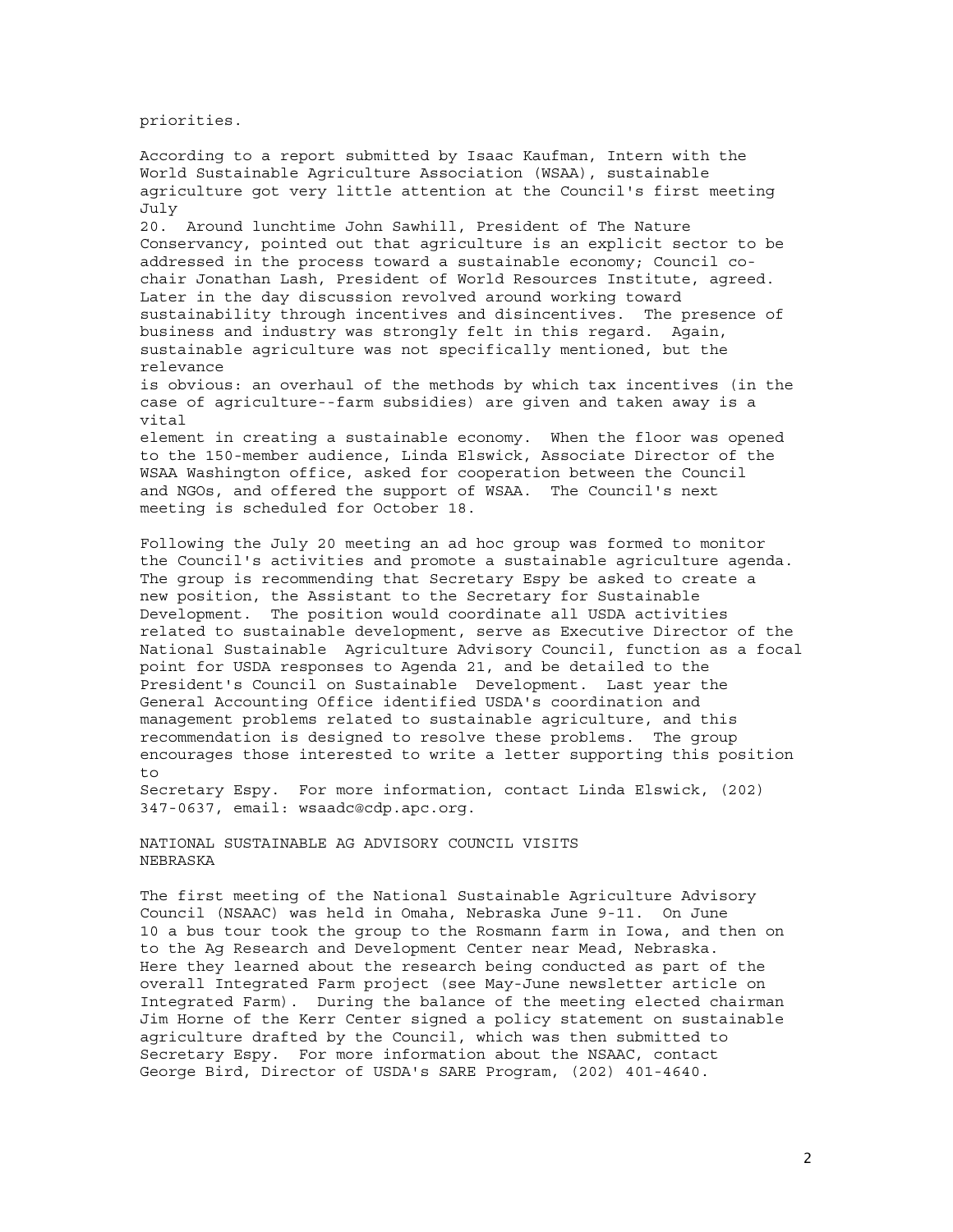priorities.

According to a report submitted by Isaac Kaufman, Intern with the World Sustainable Agriculture Association (WSAA), sustainable agriculture got very little attention at the Council's first meeting July 20. Around lunchtime John Sawhill, President of The Nature Conservancy, pointed out that agriculture is an explicit sector to be addressed in the process toward a sustainable economy; Council cochair Jonathan Lash, President of World Resources Institute, agreed. Later in the day discussion revolved around working toward sustainability through incentives and disincentives. The presence of business and industry was strongly felt in this regard. Again, sustainable agriculture was not specifically mentioned, but the relevance is obvious: an overhaul of the methods by which tax incentives (in the case of agriculture--farm subsidies) are given and taken away is a vital element in creating a sustainable economy. When the floor was opened to the 150-member audience, Linda Elswick, Associate Director of the WSAA Washington office, asked for cooperation between the Council and NGOs, and offered the support of WSAA. The Council's next meeting is scheduled for October 18.

Following the July 20 meeting an ad hoc group was formed to monitor the Council's activities and promote a sustainable agriculture agenda. The group is recommending that Secretary Espy be asked to create a new position, the Assistant to the Secretary for Sustainable Development. The position would coordinate all USDA activities related to sustainable development, serve as Executive Director of the National Sustainable Agriculture Advisory Council, function as a focal point for USDA responses to Agenda 21, and be detailed to the President's Council on Sustainable Development. Last year the General Accounting Office identified USDA's coordination and management problems related to sustainable agriculture, and this recommendation is designed to resolve these problems. The group encourages those interested to write a letter supporting this position to

Secretary Espy. For more information, contact Linda Elswick, (202) 347-0637, email: wsaadc@cdp.apc.org.

NATIONAL SUSTAINABLE AG ADVISORY COUNCIL VISITS NEBRASKA

The first meeting of the National Sustainable Agriculture Advisory Council (NSAAC) was held in Omaha, Nebraska June 9-11. On June 10 a bus tour took the group to the Rosmann farm in Iowa, and then on to the Ag Research and Development Center near Mead, Nebraska. Here they learned about the research being conducted as part of the overall Integrated Farm project (see May-June newsletter article on Integrated Farm). During the balance of the meeting elected chairman Jim Horne of the Kerr Center signed a policy statement on sustainable agriculture drafted by the Council, which was then submitted to Secretary Espy. For more information about the NSAAC, contact George Bird, Director of USDA's SARE Program, (202) 401-4640.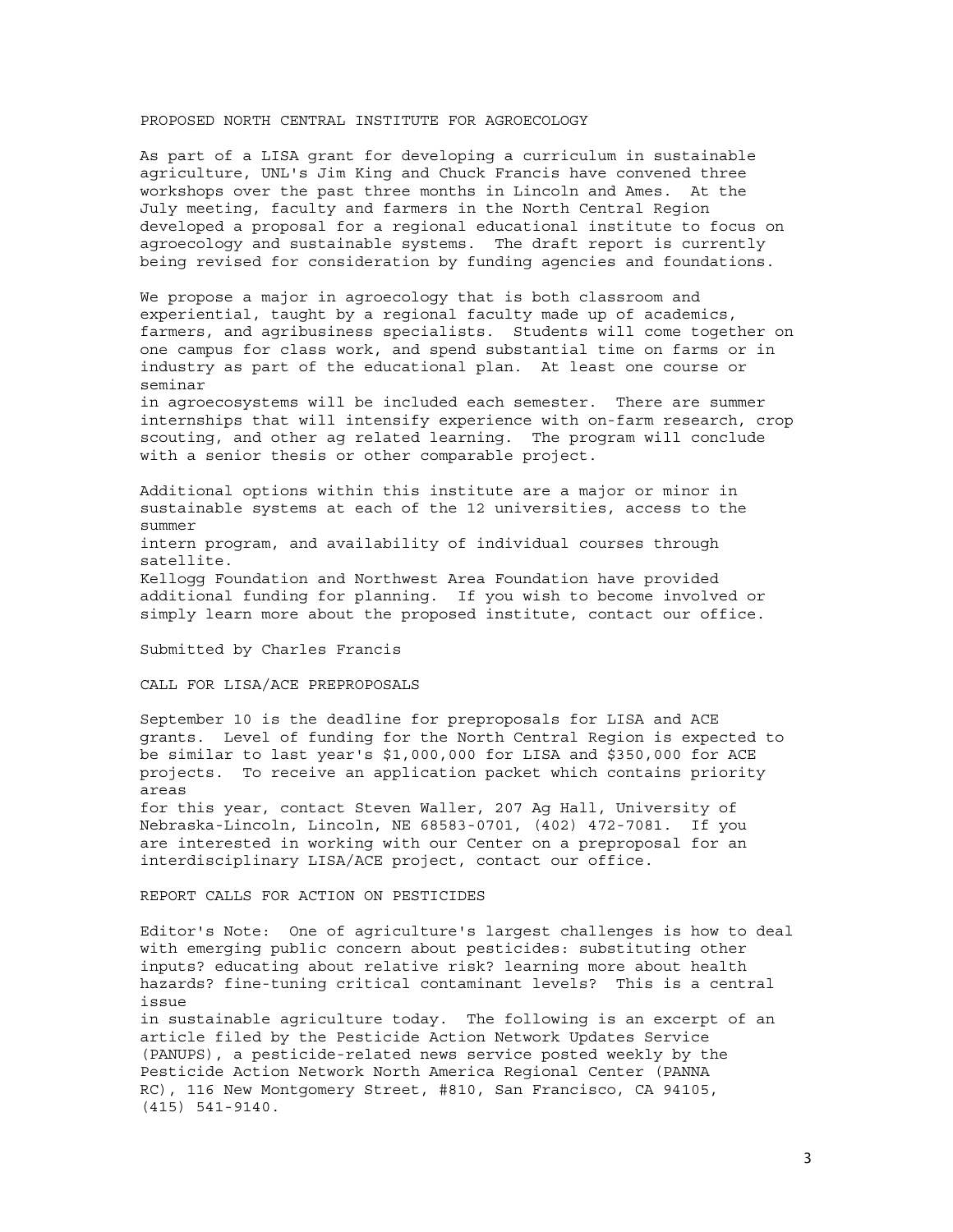#### PROPOSED NORTH CENTRAL INSTITUTE FOR AGROECOLOGY

As part of a LISA grant for developing a curriculum in sustainable agriculture, UNL's Jim King and Chuck Francis have convened three workshops over the past three months in Lincoln and Ames. At the July meeting, faculty and farmers in the North Central Region developed a proposal for a regional educational institute to focus on agroecology and sustainable systems. The draft report is currently being revised for consideration by funding agencies and foundations.

We propose a major in agroecology that is both classroom and experiential, taught by a regional faculty made up of academics, farmers, and agribusiness specialists. Students will come together on one campus for class work, and spend substantial time on farms or in industry as part of the educational plan. At least one course or seminar

in agroecosystems will be included each semester. There are summer internships that will intensify experience with on-farm research, crop scouting, and other ag related learning. The program will conclude with a senior thesis or other comparable project.

Additional options within this institute are a major or minor in sustainable systems at each of the 12 universities, access to the summer intern program, and availability of individual courses through satellite. Kellogg Foundation and Northwest Area Foundation have provided additional funding for planning. If you wish to become involved or simply learn more about the proposed institute, contact our office.

Submitted by Charles Francis

CALL FOR LISA/ACE PREPROPOSALS

September 10 is the deadline for preproposals for LISA and ACE grants. Level of funding for the North Central Region is expected to be similar to last year's \$1,000,000 for LISA and \$350,000 for ACE projects. To receive an application packet which contains priority areas

for this year, contact Steven Waller, 207 Ag Hall, University of Nebraska-Lincoln, Lincoln, NE 68583-0701, (402) 472-7081. If you are interested in working with our Center on a preproposal for an interdisciplinary LISA/ACE project, contact our office.

REPORT CALLS FOR ACTION ON PESTICIDES

Editor's Note: One of agriculture's largest challenges is how to deal with emerging public concern about pesticides: substituting other inputs? educating about relative risk? learning more about health hazards? fine-tuning critical contaminant levels? This is a central issue

in sustainable agriculture today. The following is an excerpt of an article filed by the Pesticide Action Network Updates Service (PANUPS), a pesticide-related news service posted weekly by the Pesticide Action Network North America Regional Center (PANNA RC), 116 New Montgomery Street, #810, San Francisco, CA 94105, (415) 541-9140.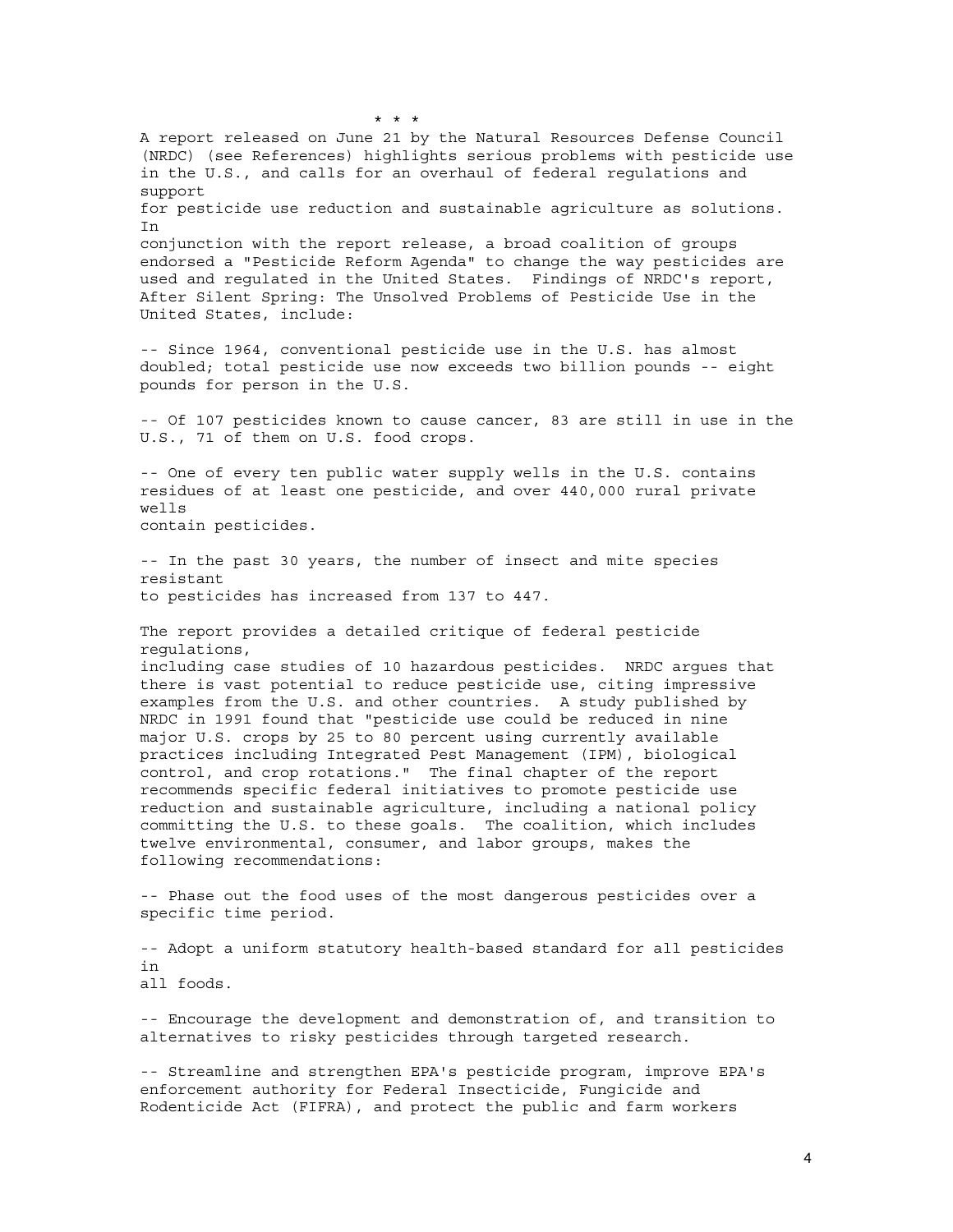A report released on June 21 by the Natural Resources Defense Council (NRDC) (see References) highlights serious problems with pesticide use in the U.S., and calls for an overhaul of federal regulations and support for pesticide use reduction and sustainable agriculture as solutions. In conjunction with the report release, a broad coalition of groups endorsed a "Pesticide Reform Agenda" to change the way pesticides are used and regulated in the United States. Findings of NRDC's report, After Silent Spring: The Unsolved Problems of Pesticide Use in the United States, include: -- Since 1964, conventional pesticide use in the U.S. has almost doubled; total pesticide use now exceeds two billion pounds -- eight pounds for person in the U.S. -- Of 107 pesticides known to cause cancer, 83 are still in use in the U.S., 71 of them on U.S. food crops. -- One of every ten public water supply wells in the U.S. contains residues of at least one pesticide, and over 440,000 rural private wells contain pesticides. -- In the past 30 years, the number of insect and mite species resistant to pesticides has increased from 137 to 447. The report provides a detailed critique of federal pesticide regulations, including case studies of 10 hazardous pesticides. NRDC argues that there is vast potential to reduce pesticide use, citing impressive examples from the U.S. and other countries. A study published by NRDC in 1991 found that "pesticide use could be reduced in nine major U.S. crops by 25 to 80 percent using currently available practices including Integrated Pest Management (IPM), biological control, and crop rotations." The final chapter of the report recommends specific federal initiatives to promote pesticide use reduction and sustainable agriculture, including a national policy committing the U.S. to these goals. The coalition, which includes twelve environmental, consumer, and labor groups, makes the following recommendations: -- Phase out the food uses of the most dangerous pesticides over a specific time period. -- Adopt a uniform statutory health-based standard for all pesticides in all foods. -- Encourage the development and demonstration of, and transition to alternatives to risky pesticides through targeted research. -- Streamline and strengthen EPA's pesticide program, improve EPA's enforcement authority for Federal Insecticide, Fungicide and

Rodenticide Act (FIFRA), and protect the public and farm workers

\* \* \*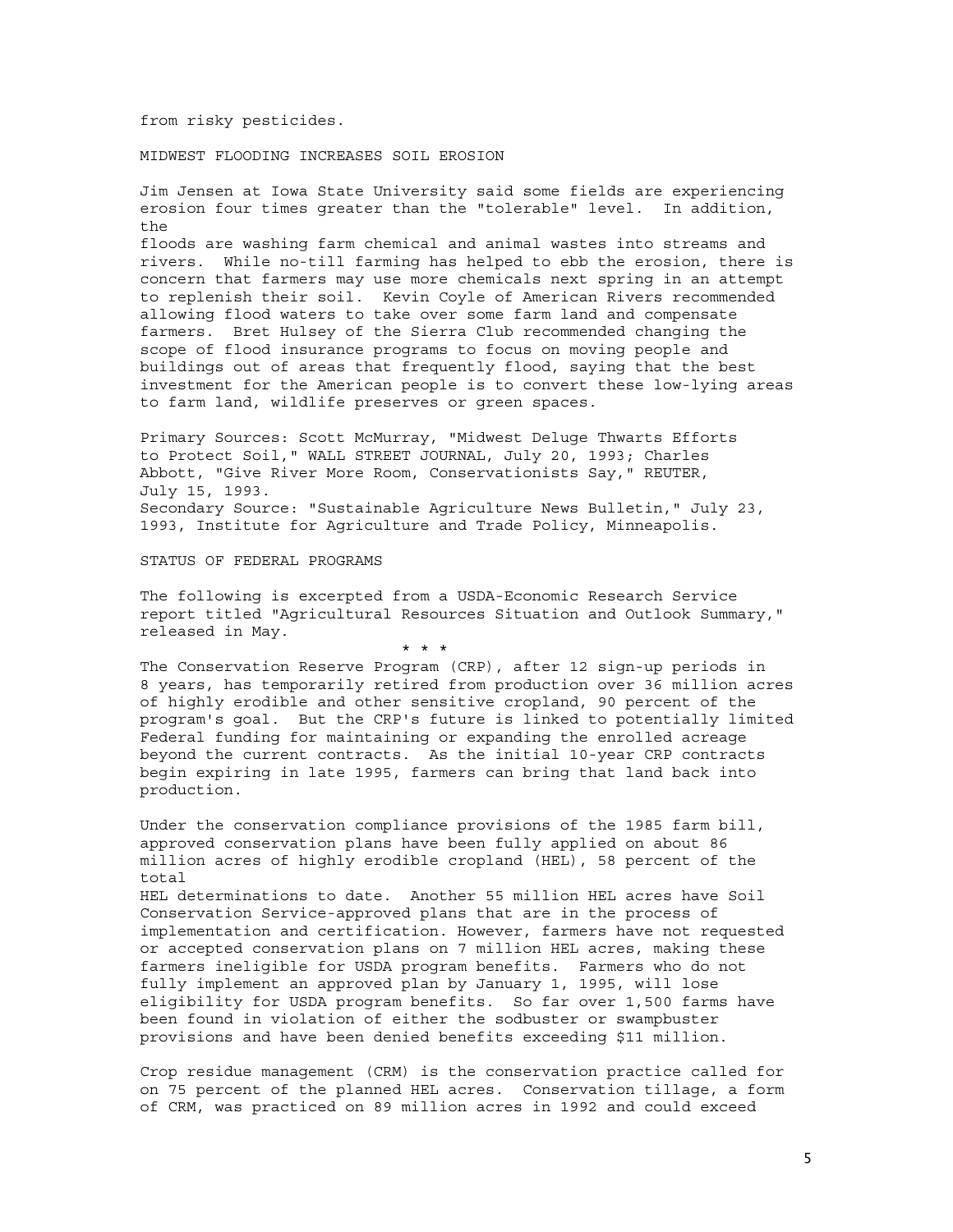from risky pesticides.

MIDWEST FLOODING INCREASES SOIL EROSION

Jim Jensen at Iowa State University said some fields are experiencing erosion four times greater than the "tolerable" level. In addition, the floods are washing farm chemical and animal wastes into streams and rivers. While no-till farming has helped to ebb the erosion, there is concern that farmers may use more chemicals next spring in an attempt to replenish their soil. Kevin Coyle of American Rivers recommended allowing flood waters to take over some farm land and compensate farmers. Bret Hulsey of the Sierra Club recommended changing the scope of flood insurance programs to focus on moving people and buildings out of areas that frequently flood, saying that the best investment for the American people is to convert these low-lying areas to farm land, wildlife preserves or green spaces.

Primary Sources: Scott McMurray, "Midwest Deluge Thwarts Efforts to Protect Soil," WALL STREET JOURNAL, July 20, 1993; Charles Abbott, "Give River More Room, Conservationists Say," REUTER, July 15, 1993. Secondary Source: "Sustainable Agriculture News Bulletin," July 23, 1993, Institute for Agriculture and Trade Policy, Minneapolis.

STATUS OF FEDERAL PROGRAMS

\* \* \*

The following is excerpted from a USDA-Economic Research Service report titled "Agricultural Resources Situation and Outlook Summary," released in May.

The Conservation Reserve Program (CRP), after 12 sign-up periods in 8 years, has temporarily retired from production over 36 million acres of highly erodible and other sensitive cropland, 90 percent of the program's goal. But the CRP's future is linked to potentially limited Federal funding for maintaining or expanding the enrolled acreage beyond the current contracts. As the initial 10-year CRP contracts begin expiring in late 1995, farmers can bring that land back into production.

Under the conservation compliance provisions of the 1985 farm bill, approved conservation plans have been fully applied on about 86 million acres of highly erodible cropland (HEL), 58 percent of the total HEL determinations to date. Another 55 million HEL acres have Soil Conservation Service-approved plans that are in the process of implementation and certification. However, farmers have not requested or accepted conservation plans on 7 million HEL acres, making these farmers ineligible for USDA program benefits. Farmers who do not fully implement an approved plan by January 1, 1995, will lose eligibility for USDA program benefits. So far over 1,500 farms have been found in violation of either the sodbuster or swampbuster provisions and have been denied benefits exceeding \$11 million.

Crop residue management (CRM) is the conservation practice called for on 75 percent of the planned HEL acres. Conservation tillage, a form of CRM, was practiced on 89 million acres in 1992 and could exceed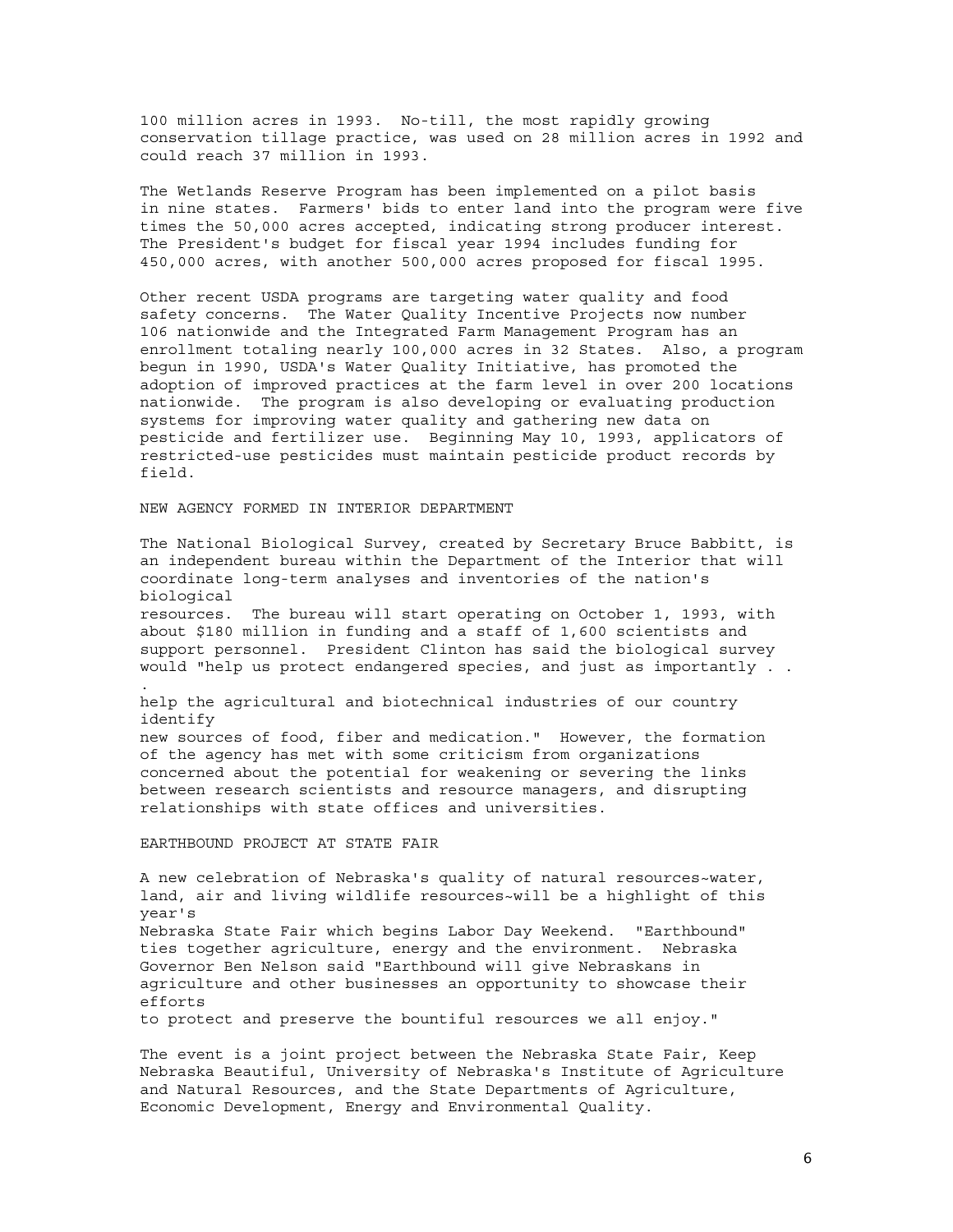100 million acres in 1993. No-till, the most rapidly growing conservation tillage practice, was used on 28 million acres in 1992 and could reach 37 million in 1993.

The Wetlands Reserve Program has been implemented on a pilot basis in nine states. Farmers' bids to enter land into the program were five times the 50,000 acres accepted, indicating strong producer interest. The President's budget for fiscal year 1994 includes funding for 450,000 acres, with another 500,000 acres proposed for fiscal 1995.

Other recent USDA programs are targeting water quality and food safety concerns. The Water Quality Incentive Projects now number 106 nationwide and the Integrated Farm Management Program has an enrollment totaling nearly 100,000 acres in 32 States. Also, a program begun in 1990, USDA's Water Quality Initiative, has promoted the adoption of improved practices at the farm level in over 200 locations nationwide. The program is also developing or evaluating production systems for improving water quality and gathering new data on pesticide and fertilizer use. Beginning May 10, 1993, applicators of restricted-use pesticides must maintain pesticide product records by field.

NEW AGENCY FORMED IN INTERIOR DEPARTMENT

The National Biological Survey, created by Secretary Bruce Babbitt, is an independent bureau within the Department of the Interior that will coordinate long-term analyses and inventories of the nation's biological

resources. The bureau will start operating on October 1, 1993, with about \$180 million in funding and a staff of 1,600 scientists and support personnel. President Clinton has said the biological survey would "help us protect endangered species, and just as importantly . .

help the agricultural and biotechnical industries of our country identify new sources of food, fiber and medication." However, the formation of the agency has met with some criticism from organizations concerned about the potential for weakening or severing the links between research scientists and resource managers, and disrupting relationships with state offices and universities.

#### EARTHBOUND PROJECT AT STATE FAIR

.

A new celebration of Nebraska's quality of natural resources~water, land, air and living wildlife resources~will be a highlight of this year's Nebraska State Fair which begins Labor Day Weekend. "Earthbound" ties together agriculture, energy and the environment. Nebraska Governor Ben Nelson said "Earthbound will give Nebraskans in agriculture and other businesses an opportunity to showcase their efforts

to protect and preserve the bountiful resources we all enjoy."

The event is a joint project between the Nebraska State Fair, Keep Nebraska Beautiful, University of Nebraska's Institute of Agriculture and Natural Resources, and the State Departments of Agriculture, Economic Development, Energy and Environmental Quality.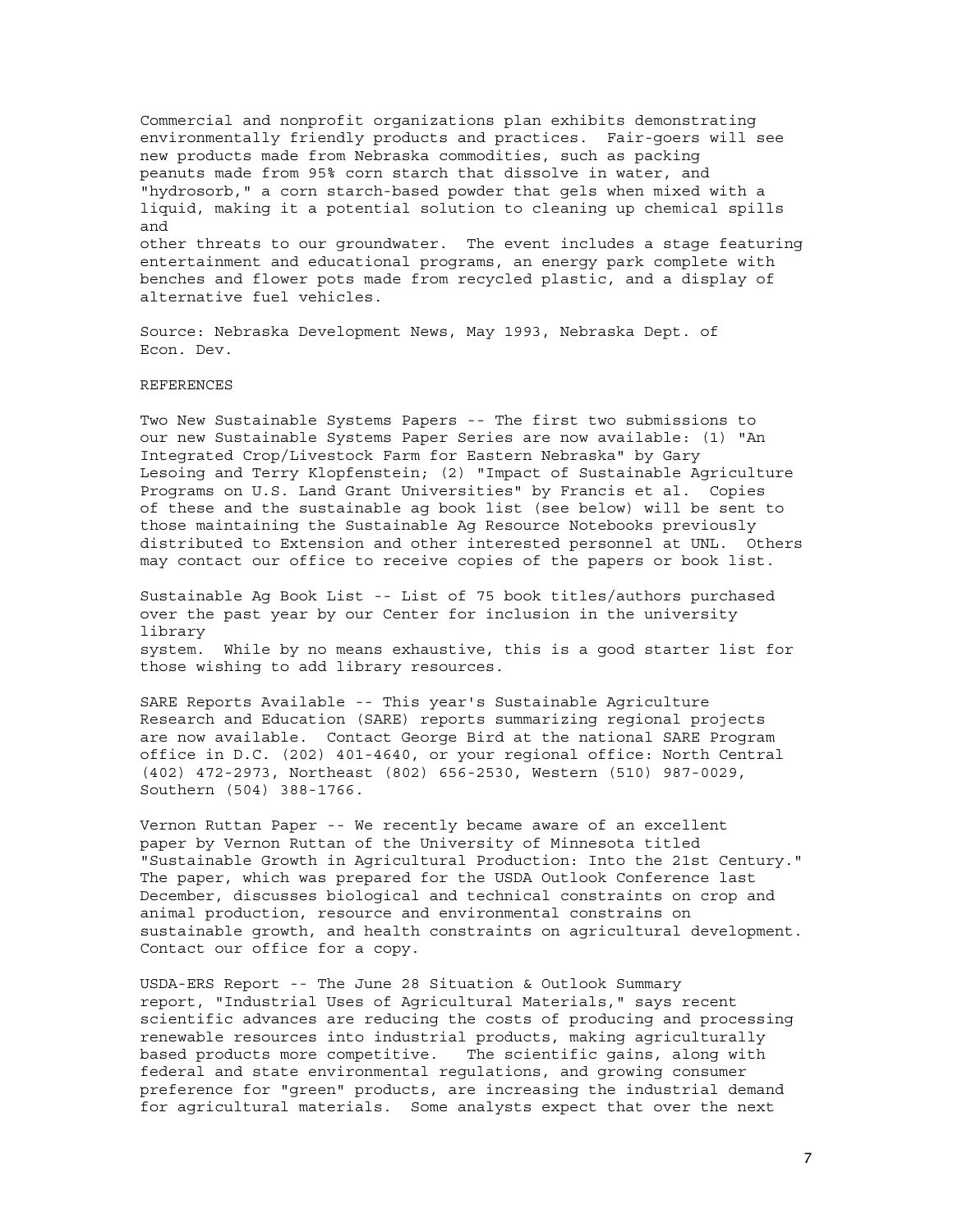Commercial and nonprofit organizations plan exhibits demonstrating environmentally friendly products and practices. Fair-goers will see new products made from Nebraska commodities, such as packing peanuts made from 95% corn starch that dissolve in water, and "hydrosorb," a corn starch-based powder that gels when mixed with a liquid, making it a potential solution to cleaning up chemical spills and other threats to our groundwater. The event includes a stage featuring entertainment and educational programs, an energy park complete with benches and flower pots made from recycled plastic, and a display of alternative fuel vehicles.

Source: Nebraska Development News, May 1993, Nebraska Dept. of Econ. Dev.

#### REFERENCES

Two New Sustainable Systems Papers -- The first two submissions to our new Sustainable Systems Paper Series are now available: (1) "An Integrated Crop/Livestock Farm for Eastern Nebraska" by Gary Lesoing and Terry Klopfenstein; (2) "Impact of Sustainable Agriculture Programs on U.S. Land Grant Universities" by Francis et al. Copies of these and the sustainable ag book list (see below) will be sent to those maintaining the Sustainable Ag Resource Notebooks previously distributed to Extension and other interested personnel at UNL. Others may contact our office to receive copies of the papers or book list.

Sustainable Ag Book List -- List of 75 book titles/authors purchased over the past year by our Center for inclusion in the university library system. While by no means exhaustive, this is a good starter list for those wishing to add library resources.

SARE Reports Available -- This year's Sustainable Agriculture Research and Education (SARE) reports summarizing regional projects are now available. Contact George Bird at the national SARE Program office in D.C. (202) 401-4640, or your regional office: North Central (402) 472-2973, Northeast (802) 656-2530, Western (510) 987-0029, Southern (504) 388-1766.

Vernon Ruttan Paper -- We recently became aware of an excellent paper by Vernon Ruttan of the University of Minnesota titled "Sustainable Growth in Agricultural Production: Into the 21st Century." The paper, which was prepared for the USDA Outlook Conference last December, discusses biological and technical constraints on crop and animal production, resource and environmental constrains on sustainable growth, and health constraints on agricultural development. Contact our office for a copy.

USDA-ERS Report -- The June 28 Situation & Outlook Summary report, "Industrial Uses of Agricultural Materials," says recent scientific advances are reducing the costs of producing and processing renewable resources into industrial products, making agriculturally based products more competitive. The scientific gains, along with federal and state environmental regulations, and growing consumer preference for "green" products, are increasing the industrial demand for agricultural materials. Some analysts expect that over the next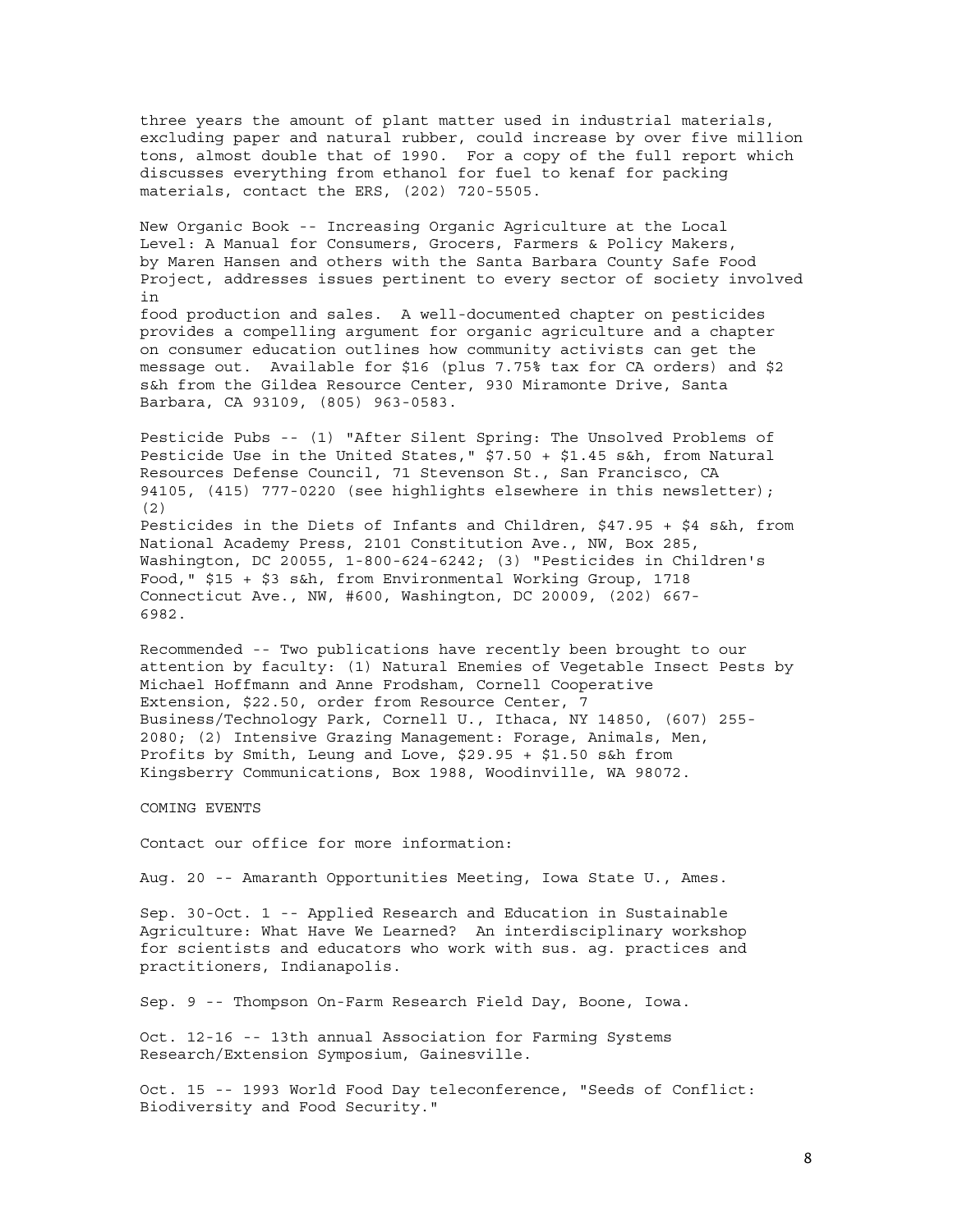three years the amount of plant matter used in industrial materials, excluding paper and natural rubber, could increase by over five million tons, almost double that of 1990. For a copy of the full report which discusses everything from ethanol for fuel to kenaf for packing materials, contact the ERS, (202) 720-5505.

New Organic Book -- Increasing Organic Agriculture at the Local Level: A Manual for Consumers, Grocers, Farmers & Policy Makers, by Maren Hansen and others with the Santa Barbara County Safe Food Project, addresses issues pertinent to every sector of society involved in

food production and sales. A well-documented chapter on pesticides provides a compelling argument for organic agriculture and a chapter on consumer education outlines how community activists can get the message out. Available for \$16 (plus 7.75% tax for CA orders) and \$2 s&h from the Gildea Resource Center, 930 Miramonte Drive, Santa Barbara, CA 93109, (805) 963-0583.

Pesticide Pubs -- (1) "After Silent Spring: The Unsolved Problems of Pesticide Use in the United States," \$7.50 + \$1.45 s&h, from Natural Resources Defense Council, 71 Stevenson St., San Francisco, CA 94105, (415) 777-0220 (see highlights elsewhere in this newsletter); (2) Pesticides in the Diets of Infants and Children, \$47.95 + \$4 s&h, from National Academy Press, 2101 Constitution Ave., NW, Box 285, Washington, DC 20055, 1-800-624-6242; (3) "Pesticides in Children's

Food," \$15 + \$3 s&h, from Environmental Working Group, 1718 Connecticut Ave., NW, #600, Washington, DC 20009, (202) 667- 6982.

Recommended -- Two publications have recently been brought to our attention by faculty: (1) Natural Enemies of Vegetable Insect Pests by Michael Hoffmann and Anne Frodsham, Cornell Cooperative Extension, \$22.50, order from Resource Center, 7 Business/Technology Park, Cornell U., Ithaca, NY 14850, (607) 255- 2080; (2) Intensive Grazing Management: Forage, Animals, Men, Profits by Smith, Leung and Love, \$29.95 + \$1.50 s&h from Kingsberry Communications, Box 1988, Woodinville, WA 98072.

COMING EVENTS

Contact our office for more information:

Aug. 20 -- Amaranth Opportunities Meeting, Iowa State U., Ames.

Sep. 30-Oct. 1 -- Applied Research and Education in Sustainable Agriculture: What Have We Learned? An interdisciplinary workshop for scientists and educators who work with sus. ag. practices and practitioners, Indianapolis.

Sep. 9 -- Thompson On-Farm Research Field Day, Boone, Iowa.

Oct. 12-16 -- 13th annual Association for Farming Systems Research/Extension Symposium, Gainesville.

Oct. 15 -- 1993 World Food Day teleconference, "Seeds of Conflict: Biodiversity and Food Security."